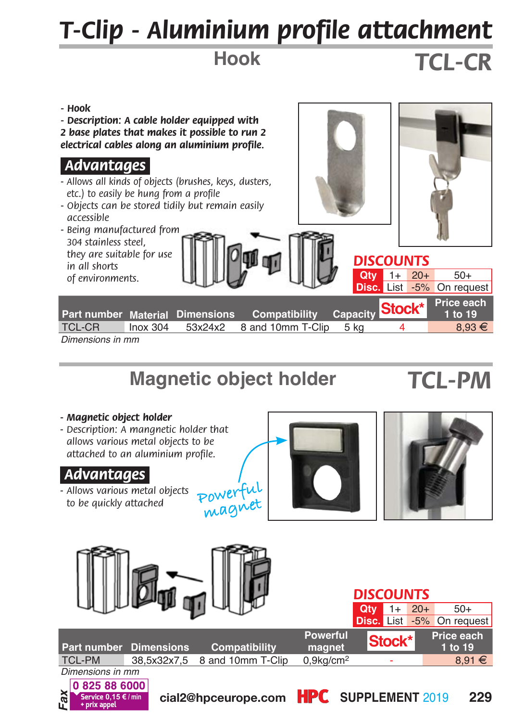# *T-Clip - Aluminium profile attachment*

**Hook**

## *TCL-CR*



### **Magnetic object holder**

### *TCL-PM*